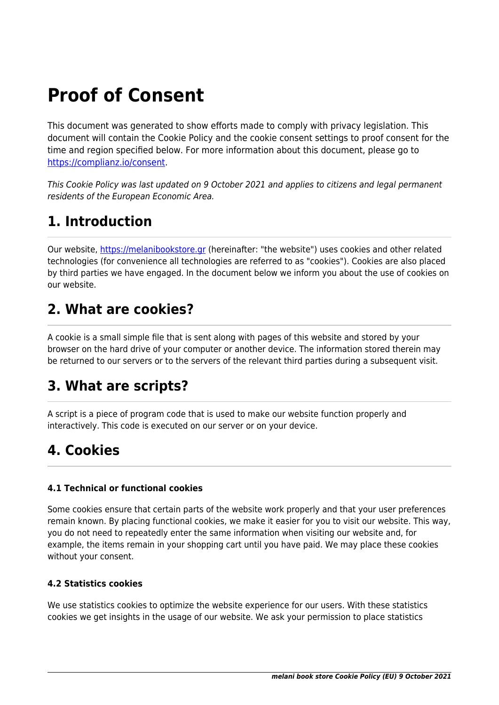# **Proof of Consent**

This document was generated to show efforts made to comply with privacy legislation. This document will contain the Cookie Policy and the cookie consent settings to proof consent for the time and region specified below. For more information about this document, please go to <https://complianz.io/consent>.

This Cookie Policy was last updated on 9 October 2021 and applies to citizens and legal permanent residents of the European Economic Area.

# **1. Introduction**

Our website, <https://melanibookstore.gr>(hereinafter: "the website") uses cookies and other related technologies (for convenience all technologies are referred to as "cookies"). Cookies are also placed by third parties we have engaged. In the document below we inform you about the use of cookies on our website.

# **2. What are cookies?**

A cookie is a small simple file that is sent along with pages of this website and stored by your browser on the hard drive of your computer or another device. The information stored therein may be returned to our servers or to the servers of the relevant third parties during a subsequent visit.

## **3. What are scripts?**

A script is a piece of program code that is used to make our website function properly and interactively. This code is executed on our server or on your device.

# **4. Cookies**

### **4.1 Technical or functional cookies**

Some cookies ensure that certain parts of the website work properly and that your user preferences remain known. By placing functional cookies, we make it easier for you to visit our website. This way, you do not need to repeatedly enter the same information when visiting our website and, for example, the items remain in your shopping cart until you have paid. We may place these cookies without your consent.

### **4.2 Statistics cookies**

We use statistics cookies to optimize the website experience for our users. With these statistics cookies we get insights in the usage of our website. We ask your permission to place statistics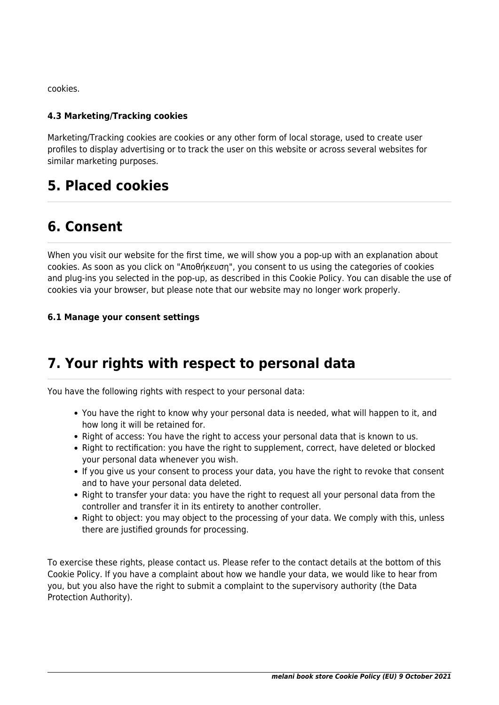cookies.

#### **4.3 Marketing/Tracking cookies**

Marketing/Tracking cookies are cookies or any other form of local storage, used to create user profiles to display advertising or to track the user on this website or across several websites for similar marketing purposes.

### **5. Placed cookies**

## **6. Consent**

When you visit our website for the first time, we will show you a pop-up with an explanation about cookies. As soon as you click on "Αποθήκευση", you consent to us using the categories of cookies and plug-ins you selected in the pop-up, as described in this Cookie Policy. You can disable the use of cookies via your browser, but please note that our website may no longer work properly.

#### **6.1 Manage your consent settings**

## **7. Your rights with respect to personal data**

You have the following rights with respect to your personal data:

- You have the right to know why your personal data is needed, what will happen to it, and how long it will be retained for.
- Right of access: You have the right to access your personal data that is known to us.
- Right to rectification: you have the right to supplement, correct, have deleted or blocked your personal data whenever you wish.
- If you give us your consent to process your data, you have the right to revoke that consent and to have your personal data deleted.
- Right to transfer your data: you have the right to request all your personal data from the controller and transfer it in its entirety to another controller.
- Right to object: you may object to the processing of your data. We comply with this, unless there are justified grounds for processing.

To exercise these rights, please contact us. Please refer to the contact details at the bottom of this Cookie Policy. If you have a complaint about how we handle your data, we would like to hear from you, but you also have the right to submit a complaint to the supervisory authority (the Data Protection Authority).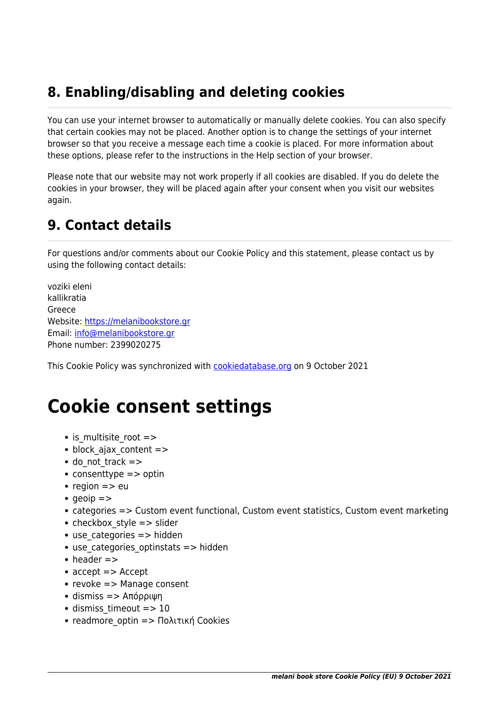# **8. Enabling/disabling and deleting cookies**

You can use your internet browser to automatically or manually delete cookies. You can also specify that certain cookies may not be placed. Another option is to change the settings of your internet browser so that you receive a message each time a cookie is placed. For more information about these options, please refer to the instructions in the Help section of your browser.

Please note that our website may not work properly if all cookies are disabled. If you do delete the cookies in your browser, they will be placed again after your consent when you visit our websites again.

# **9. Contact details**

For questions and/or comments about our Cookie Policy and this statement, please contact us by using the following contact details:

voziki eleni kallikratia Greece Website:<https://melanibookstore.gr> Email: [info@melanibookstore.gr](#page--1-0) Phone number: 2399020275

This Cookie Policy was synchronized with [cookiedatabase.org](https://cookiedatabase.org) on 9 October 2021

# **Cookie consent settings**

- is multisite root =>
- block ajax content =>
- $\bullet$  do not track  $\Rightarrow$
- $\bullet$  consenttype  $\Rightarrow$  optin
- region  $\Rightarrow$  eu
- $q$ eoip  $=$ >
- categories => Custom event functional, Custom event statistics, Custom event marketing
- checkbox style  $=$   $>$  slider
- $\bullet$  use categories  $\Rightarrow$  hidden
- use categories optinstats => hidden
- $\bullet$  header  $\Rightarrow$
- accept => Accept
- revoke => Manage consent
- $\bullet$  dismiss  $\Rightarrow$  Απόρριψη
- dismiss timeout => 10
- readmore optin => Πολιτική Cookies